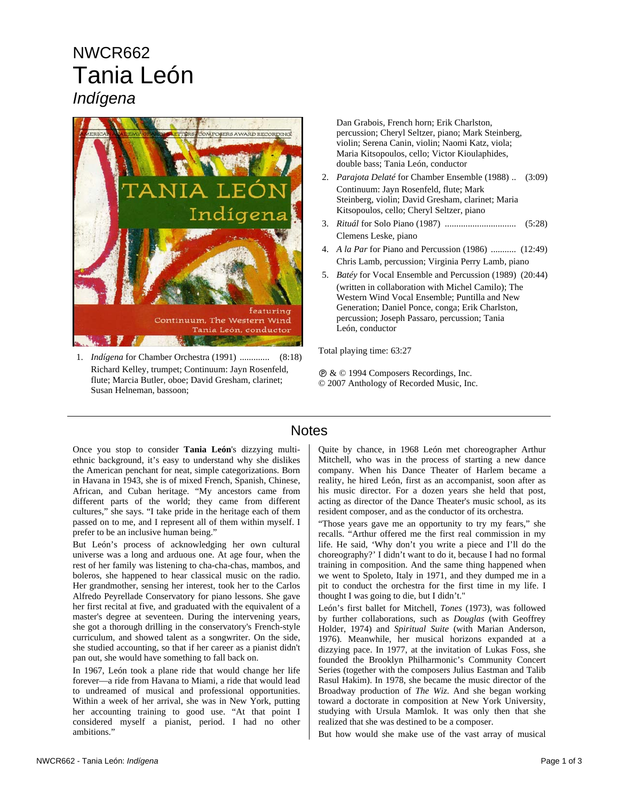## NWCR662 Tania León *Indígena*



1. *Indígena* for Chamber Orchestra (1991) ............. (8:18) Richard Kelley, trumpet; Continuum: Jayn Rosenfeld, flute; Marcia Butler, oboe; David Gresham, clarinet; Susan Helneman, bassoon;

Dan Grabois, French horn; Erik Charlston, percussion; Cheryl Seltzer, piano; Mark Steinberg, violin; Serena Canin, violin; Naomi Katz, viola; Maria Kitsopoulos, cello; Victor Kioulaphides, double bass; Tania León, conductor

- 2. *Parajota Delaté* for Chamber Ensemble (1988) .. (3:09) Continuum: Jayn Rosenfeld, flute; Mark Steinberg, violin; David Gresham, clarinet; Maria Kitsopoulos, cello; Cheryl Seltzer, piano
- 3. *Rituál* for Solo Piano (1987) ............................... (5:28) Clemens Leske, piano
- 4. *A la Par* for Piano and Percussion (1986) ........... (12:49) Chris Lamb, percussion; Virginia Perry Lamb, piano
- 5. *Batéy* for Vocal Ensemble and Percussion (1989) (20:44) (written in collaboration with Michel Camilo); The Western Wind Vocal Ensemble; Puntilla and New Generation; Daniel Ponce, conga; Erik Charlston, percussion; Joseph Passaro, percussion; Tania León, conductor

Total playing time: 63:27

Ê & © 1994 Composers Recordings, Inc. © 2007 Anthology of Recorded Music, Inc.

## **Notes**

Once you stop to consider **Tania León**'s dizzying multiethnic background, it's easy to understand why she dislikes the American penchant for neat, simple categorizations. Born in Havana in 1943, she is of mixed French, Spanish, Chinese, African, and Cuban heritage. "My ancestors came from different parts of the world; they came from different cultures," she says. "I take pride in the heritage each of them passed on to me, and I represent all of them within myself. I prefer to be an inclusive human being."

But León's process of acknowledging her own cultural universe was a long and arduous one. At age four, when the rest of her family was listening to cha-cha-chas, mambos, and boleros, she happened to hear classical music on the radio. Her grandmother, sensing her interest, took her to the Carlos Alfredo Peyrellade Conservatory for piano lessons. She gave her first recital at five, and graduated with the equivalent of a master's degree at seventeen. During the intervening years, she got a thorough drilling in the conservatory's French-style curriculum, and showed talent as a songwriter. On the side, she studied accounting, so that if her career as a pianist didn't pan out, she would have something to fall back on.

In 1967, León took a plane ride that would change her life forever—a ride from Havana to Miami, a ride that would lead to undreamed of musical and professional opportunities. Within a week of her arrival, she was in New York, putting her accounting training to good use. "At that point I considered myself a pianist, period. I had no other ambitions."

Quite by chance, in 1968 León met choreographer Arthur Mitchell, who was in the process of starting a new dance company. When his Dance Theater of Harlem became a reality, he hired León, first as an accompanist, soon after as his music director. For a dozen years she held that post, acting as director of the Dance Theater's music school, as its resident composer, and as the conductor of its orchestra.

"Those years gave me an opportunity to try my fears," she recalls. "Arthur offered me the first real commission in my life. He said, 'Why don't you write a piece and I'll do the choreography?' I didn't want to do it, because I had no formal training in composition. And the same thing happened when we went to Spoleto, Italy in 1971, and they dumped me in a pit to conduct the orchestra for the first time in my life. I thought I was going to die, but I didn't."

León's first ballet for Mitchell, *Tones* (1973), was followed by further collaborations, such as *Douglas* (with Geoffrey Holder, 1974) and *Spiritual Suite* (with Marian Anderson, 1976). Meanwhile, her musical horizons expanded at a dizzying pace. In 1977, at the invitation of Lukas Foss, she founded the Brooklyn Philharmonic's Community Concert Series (together with the composers Julius Eastman and Talib Rasul Hakim). In 1978, she became the music director of the Broadway production of *The Wiz*. And she began working toward a doctorate in composition at New York University, studying with Ursula Mamlok. It was only then that she realized that she was destined to be a composer.

But how would she make use of the vast array of musical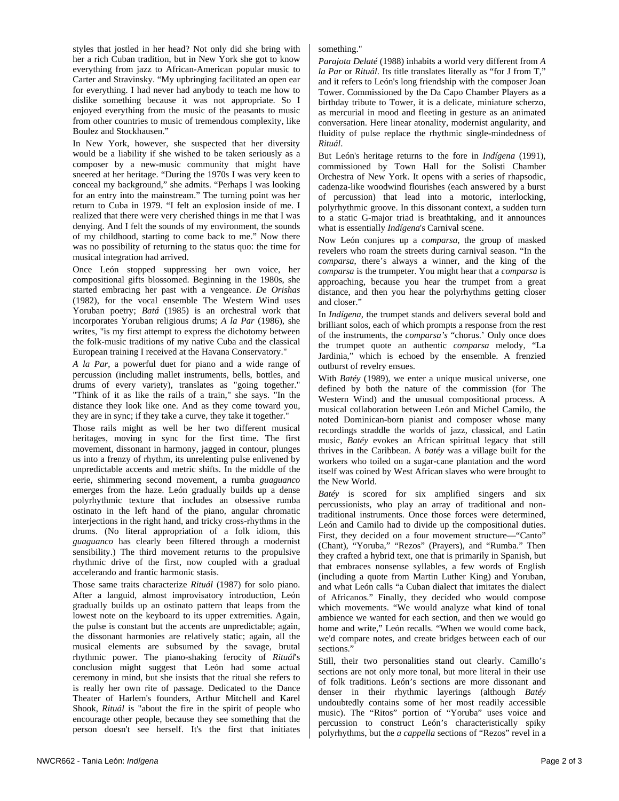styles that jostled in her head? Not only did she bring with her a rich Cuban tradition, but in New York she got to know everything from jazz to African-American popular music to Carter and Stravinsky. "My upbringing facilitated an open ear for everything. I had never had anybody to teach me how to dislike something because it was not appropriate. So I enjoyed everything from the music of the peasants to music from other countries to music of tremendous complexity, like Boulez and Stockhausen."

In New York, however, she suspected that her diversity would be a liability if she wished to be taken seriously as a composer by a new-music community that might have sneered at her heritage. "During the 1970s I was very keen to conceal my background," she admits. "Perhaps I was looking for an entry into the mainstream." The turning point was her return to Cuba in 1979. "I felt an explosion inside of me. I realized that there were very cherished things in me that I was denying. And I felt the sounds of my environment, the sounds of my childhood, starting to come back to me." Now there was no possibility of returning to the status quo: the time for musical integration had arrived.

Once León stopped suppressing her own voice, her compositional gifts blossomed. Beginning in the 1980s, she started embracing her past with a vengeance. *De Orishas* (1982), for the vocal ensemble The Western Wind uses Yoruban poetry; *Batá* (1985) is an orchestral work that incorporates Yoruban religious drums; *A la Par* (1986), she writes, "is my first attempt to express the dichotomy between the folk-music traditions of my native Cuba and the classical European training I received at the Havana Conservatory."

*A la Par*, a powerful duet for piano and a wide range of percussion (including mallet instruments, bells, bottles, and drums of every variety), translates as "going together." "Think of it as like the rails of a train," she says. "In the distance they look like one. And as they come toward you, they are in sync; if they take a curve, they take it together."

Those rails might as well be her two different musical heritages, moving in sync for the first time. The first movement, dissonant in harmony, jagged in contour, plunges us into a frenzy of rhythm, its unrelenting pulse enlivened by unpredictable accents and metric shifts. In the middle of the eerie, shimmering second movement, a rumba *guaguanco* emerges from the haze. León gradually builds up a dense polyrhythmic texture that includes an obsessive rumba ostinato in the left hand of the piano, angular chromatic interjections in the right hand, and tricky cross-rhythms in the drums. (No literal appropriation of a folk idiom, this *guaguanco* has clearly been filtered through a modernist sensibility.) The third movement returns to the propulsive rhythmic drive of the first, now coupled with a gradual accelerando and frantic harmonic stasis.

Those same traits characterize *Rituál* (1987) for solo piano. After a languid, almost improvisatory introduction, León gradually builds up an ostinato pattern that leaps from the lowest note on the keyboard to its upper extremities. Again, the pulse is constant but the accents are unpredictable; again, the dissonant harmonies are relatively static; again, all the musical elements are subsumed by the savage, brutal rhythmic power. The piano-shaking ferocity of *Rituál*'s conclusion might suggest that León had some actual ceremony in mind, but she insists that the ritual she refers to is really her own rite of passage. Dedicated to the Dance Theater of Harlem's founders, Arthur Mitchell and Karel Shook, *Rituál* is "about the fire in the spirit of people who encourage other people, because they see something that the person doesn't see herself. It's the first that initiates

## something."

*Parajota Delaté* (1988) inhabits a world very different from *A la Par* or *Rituál*. Its title translates literally as "for J from T," and it refers to León's long friendship with the composer Joan Tower. Commissioned by the Da Capo Chamber Players as a birthday tribute to Tower, it is a delicate, miniature scherzo, as mercurial in mood and fleeting in gesture as an animated conversation. Here linear atonality, modernist angularity, and fluidity of pulse replace the rhythmic single-mindedness of *Rituál*.

But León's heritage returns to the fore in *Indígena* (1991), commissioned by Town Hall for the Solisti Chamber Orchestra of New York. It opens with a series of rhapsodic, cadenza-like woodwind flourishes (each answered by a burst of percussion) that lead into a motoric, interlocking, polyrhythmic groove. In this dissonant context, a sudden turn to a static G-major triad is breathtaking, and it announces what is essentially *Indígena*'s Carnival scene.

Now León conjures up a *comparsa*, the group of masked revelers who roam the streets during carnival season. "In the *comparsa*, there's always a winner, and the king of the *comparsa* is the trumpeter. You might hear that a *comparsa* is approaching, because you hear the trumpet from a great distance, and then you hear the polyrhythms getting closer and closer."

In *Indígena*, the trumpet stands and delivers several bold and brilliant solos, each of which prompts a response from the rest of the instruments, the *comparsa's* "chorus.' Only once does the trumpet quote an authentic *comparsa* melody, "La Jardinia," which is echoed by the ensemble. A frenzied outburst of revelry ensues.

With *Batéy* (1989), we enter a unique musical universe, one defined by both the nature of the commission (for The Western Wind) and the unusual compositional process. A musical collaboration between León and Michel Camilo, the noted Dominican-born pianist and composer whose many recordings straddle the worlds of jazz, classical, and Latin music, *Batéy* evokes an African spiritual legacy that still thrives in the Caribbean. A *batéy* was a village built for the workers who toiled on a sugar-cane plantation and the word itself was coined by West African slaves who were brought to the New World.

*Batéy* is scored for six amplified singers and six percussionists, who play an array of traditional and nontraditional instruments. Once those forces were determined, León and Camilo had to divide up the compositional duties. First, they decided on a four movement structure—"Canto" (Chant), "Yoruba," "Rezos" (Prayers), and "Rumba." Then they crafted a hybrid text, one that is primarily in Spanish, but that embraces nonsense syllables, a few words of English (including a quote from Martin Luther King) and Yoruban, and what León calls "a Cuban dialect that imitates the dialect of Africanos." Finally, they decided who would compose which movements. "We would analyze what kind of tonal ambience we wanted for each section, and then we would go home and write," León recalls. "When we would come back, we'd compare notes, and create bridges between each of our sections."

Still, their two personalities stand out clearly. Camillo's sections are not only more tonal, but more literal in their use of folk traditions. León's sections are more dissonant and denser in their rhythmic layerings (although *Batéy* undoubtedly contains some of her most readily accessible music). The "Ritos" portion of "Yoruba" uses voice and percussion to construct León's characteristically spiky polyrhythms, but the *a cappella* sections of "Rezos" revel in a